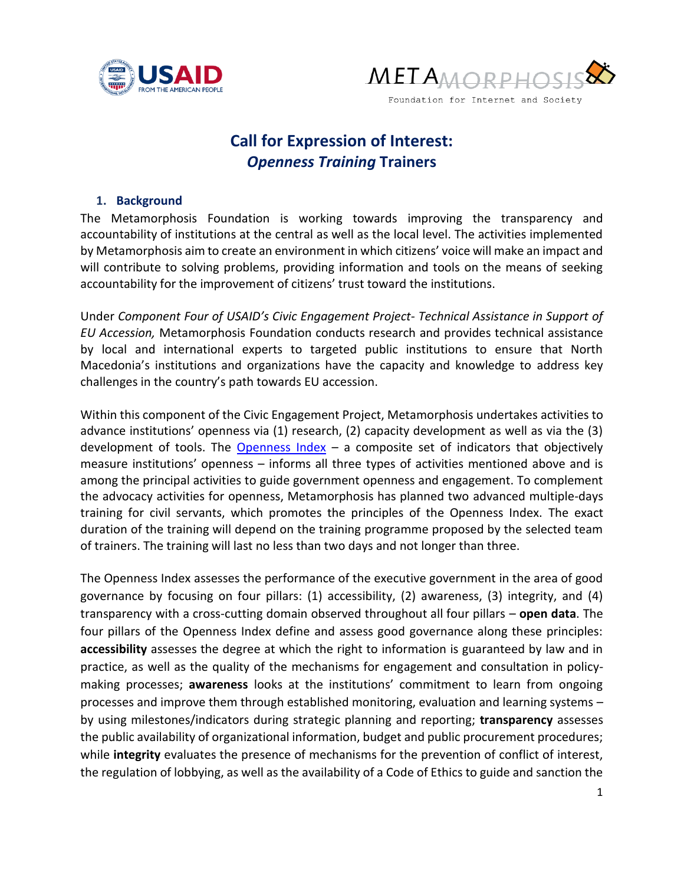



# **Call for Expression of Interest:** *Openness Training* **Trainers**

#### **1. Background**

The Metamorphosis Foundation is working towards improving the transparency and accountability of institutions at the central as well as the local level. The activities implemented by Metamorphosis aim to create an environment in which citizens' voice will make an impact and will contribute to solving problems, providing information and tools on the means of seeking accountability for the improvement of citizens' trust toward the institutions.

Under *Component Four of USAID's Civic Engagement Project- Technical Assistance in Support of EU Accession,* Metamorphosis Foundation conducts research and provides technical assistance by local and international experts to targeted public institutions to ensure that North Macedonia's institutions and organizations have the capacity and knowledge to address key challenges in the country's path towards EU accession.

Within this component of the Civic Engagement Project, Metamorphosis undertakes activities to advance institutions' openness via (1) research, (2) capacity development as well as via the (3) development of tools. The **[Openness Index](https://opennessindex.actionsee.org/)** – a composite set of indicators that objectively measure institutions' openness – informs all three types of activities mentioned above and is among the principal activities to guide government openness and engagement. To complement the advocacy activities for openness, Metamorphosis has planned two advanced multiple-days training for civil servants, which promotes the principles of the Openness Index. The exact duration of the training will depend on the training programme proposed by the selected team of trainers. The training will last no less than two days and not longer than three.

The Openness Index assesses the performance of the executive government in the area of good governance by focusing on four pillars: (1) accessibility, (2) awareness, (3) integrity, and (4) transparency with a cross-cutting domain observed throughout all four pillars – **open data**. The four pillars of the Openness Index define and assess good governance along these principles: **accessibility** assesses the degree at which the right to information is guaranteed by law and in practice, as well as the quality of the mechanisms for engagement and consultation in policymaking processes; **awareness** looks at the institutions' commitment to learn from ongoing processes and improve them through established monitoring, evaluation and learning systems – by using milestones/indicators during strategic planning and reporting; **transparency** assesses the public availability of organizational information, budget and public procurement procedures; while **integrity** evaluates the presence of mechanisms for the prevention of conflict of interest, the regulation of lobbying, as well as the availability of a Code of Ethics to guide and sanction the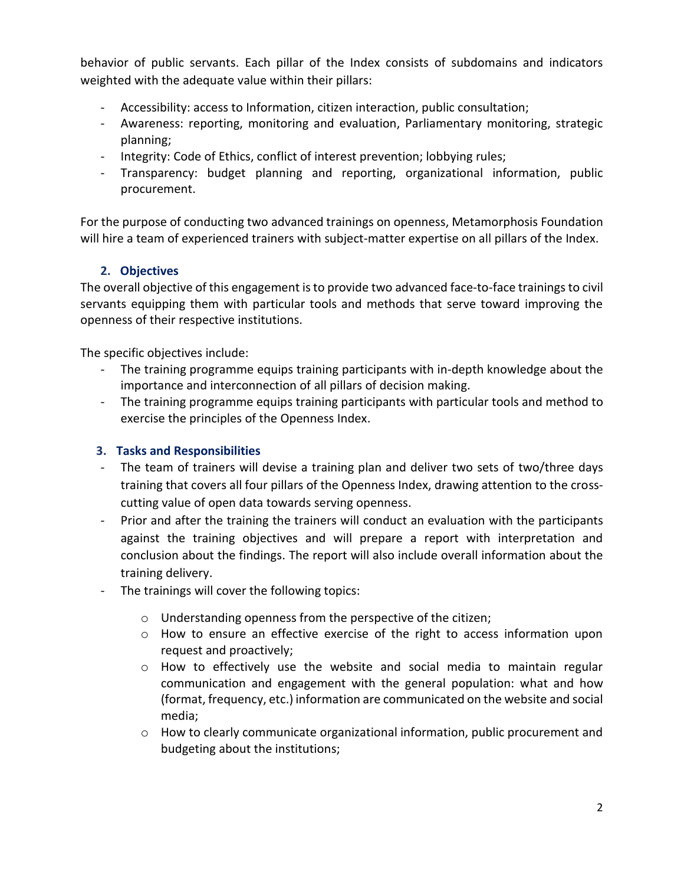behavior of public servants. Each pillar of the Index consists of subdomains and indicators weighted with the adequate value within their pillars:

- Accessibility: access to Information, citizen interaction, public consultation;
- Awareness: reporting, monitoring and evaluation, Parliamentary monitoring, strategic planning;
- Integrity: Code of Ethics, conflict of interest prevention; lobbying rules;
- Transparency: budget planning and reporting, organizational information, public procurement.

For the purpose of conducting two advanced trainings on openness, Metamorphosis Foundation will hire a team of experienced trainers with subject-matter expertise on all pillars of the Index.

### **2. Objectives**

The overall objective of this engagement is to provide two advanced face-to-face trainingsto civil servants equipping them with particular tools and methods that serve toward improving the openness of their respective institutions.

The specific objectives include:

- The training programme equips training participants with in-depth knowledge about the importance and interconnection of all pillars of decision making.
- The training programme equips training participants with particular tools and method to exercise the principles of the Openness Index.

### **3. Tasks and Responsibilities**

- The team of trainers will devise a training plan and deliver two sets of two/three days training that covers all four pillars of the Openness Index, drawing attention to the crosscutting value of open data towards serving openness.
- Prior and after the training the trainers will conduct an evaluation with the participants against the training objectives and will prepare a report with interpretation and conclusion about the findings. The report will also include overall information about the training delivery.
- The trainings will cover the following topics:
	- o Understanding openness from the perspective of the citizen;
	- $\circ$  How to ensure an effective exercise of the right to access information upon request and proactively;
	- $\circ$  How to effectively use the website and social media to maintain regular communication and engagement with the general population: what and how (format, frequency, etc.) information are communicated on the website and social media;
	- o How to clearly communicate organizational information, public procurement and budgeting about the institutions;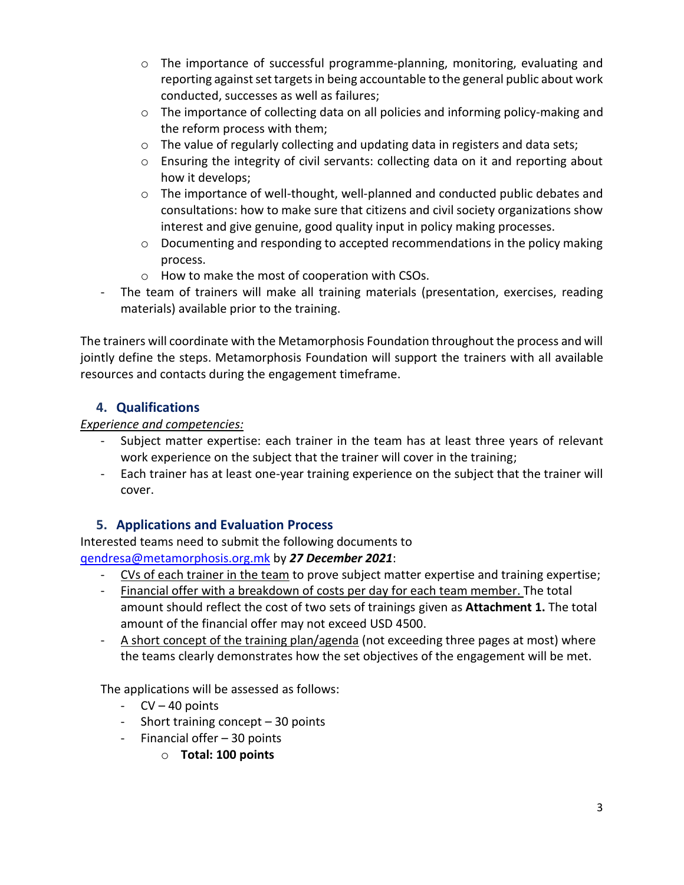- o The importance of successful programme-planning, monitoring, evaluating and reporting against set targets in being accountable to the general public about work conducted, successes as well as failures;
- $\circ$  The importance of collecting data on all policies and informing policy-making and the reform process with them;
- o The value of regularly collecting and updating data in registers and data sets;
- o Ensuring the integrity of civil servants: collecting data on it and reporting about how it develops;
- $\circ$  The importance of well-thought, well-planned and conducted public debates and consultations: how to make sure that citizens and civil society organizations show interest and give genuine, good quality input in policy making processes.
- $\circ$  Documenting and responding to accepted recommendations in the policy making process.
- o How to make the most of cooperation with CSOs.
- The team of trainers will make all training materials (presentation, exercises, reading materials) available prior to the training.

The trainers will coordinate with the Metamorphosis Foundation throughout the process and will jointly define the steps. Metamorphosis Foundation will support the trainers with all available resources and contacts during the engagement timeframe.

# **4. Qualifications**

### *Experience and competencies:*

- Subject matter expertise: each trainer in the team has at least three years of relevant work experience on the subject that the trainer will cover in the training;
- Each trainer has at least one-year training experience on the subject that the trainer will cover.

# **5. Applications and Evaluation Process**

Interested teams need to submit the following documents to [qendresa@metamorphosis.org.mk](mailto:qendresa@metamorphosis.org.mk) by *27 December 2021*:

- CVs of each trainer in the team to prove subject matter expertise and training expertise;
- Financial offer with a breakdown of costs per day for each team member. The total amount should reflect the cost of two sets of trainings given as **Attachment 1.** The total amount of the financial offer may not exceed USD 4500.
- A short concept of the training plan/agenda (not exceeding three pages at most) where the teams clearly demonstrates how the set objectives of the engagement will be met.

The applications will be assessed as follows:

- CV 40 points
- Short training concept 30 points
- Financial offer 30 points
	- o **Total: 100 points**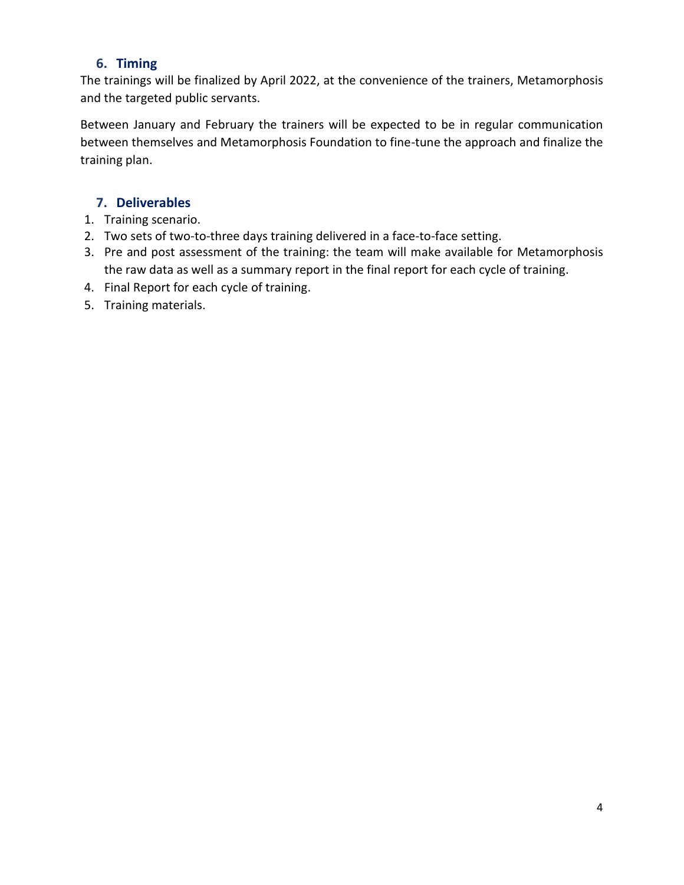### **6. Timing**

The trainings will be finalized by April 2022, at the convenience of the trainers, Metamorphosis and the targeted public servants.

Between January and February the trainers will be expected to be in regular communication between themselves and Metamorphosis Foundation to fine-tune the approach and finalize the training plan.

### **7. Deliverables**

- 1. Training scenario.
- 2. Two sets of two-to-three days training delivered in a face-to-face setting.
- 3. Pre and post assessment of the training: the team will make available for Metamorphosis the raw data as well as a summary report in the final report for each cycle of training.
- 4. Final Report for each cycle of training.
- 5. Training materials.